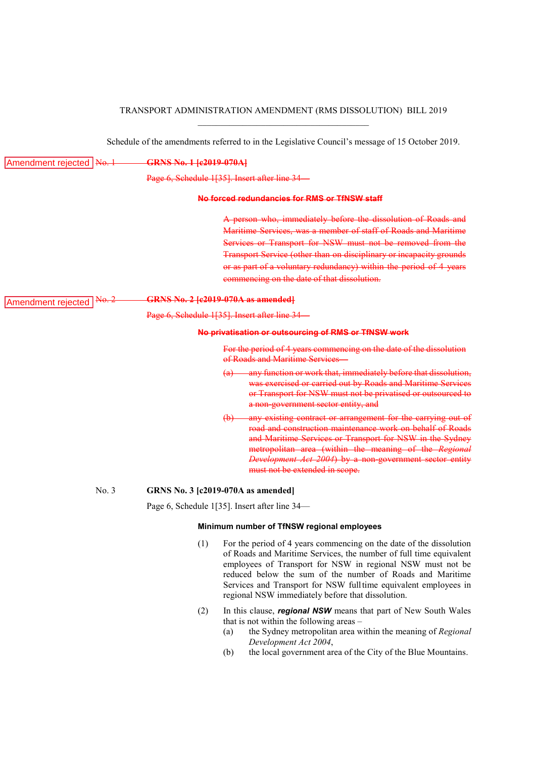# TRANSPORT ADMINISTRATION AMENDMENT (RMS DISSOLUTION) BILL 2019 \_\_\_\_\_\_\_\_\_\_\_\_\_\_\_\_\_\_\_\_\_\_\_\_\_\_\_\_\_\_\_\_\_\_\_\_\_\_

Schedule of the amendments referred to in the Legislative Council's message of 15 October 2019.

| Amendment rejected   No. 1        | GRNS No. 1 [c2019-070A]                                                                       |                                                                                                                                                                                                                                                                                                                                                                                              |  |
|-----------------------------------|-----------------------------------------------------------------------------------------------|----------------------------------------------------------------------------------------------------------------------------------------------------------------------------------------------------------------------------------------------------------------------------------------------------------------------------------------------------------------------------------------------|--|
|                                   | Page 6, Schedule 1[35]. Insert after line 34<br>No forced redundancies for RMS or TfNSW staff |                                                                                                                                                                                                                                                                                                                                                                                              |  |
|                                   |                                                                                               |                                                                                                                                                                                                                                                                                                                                                                                              |  |
|                                   |                                                                                               | A person who, immediately before the dissolution of Roads and<br>Maritime Services, was a member of staff of Roads and Maritime<br>Services or Transport for NSW must not be removed from the<br>Transport Service (other than on disciplinary or incapacity grounds<br>or as part of a voluntary redundancy) within the period of 4 years<br>commencing on the date of that dissolution.    |  |
| $A\Theta$ .<br>Amendment rejected | <b>GRNS No. 2 [c2019-070A as amended]</b>                                                     |                                                                                                                                                                                                                                                                                                                                                                                              |  |
|                                   | Page 6, Schedule 1[35]. Insert after line 34                                                  |                                                                                                                                                                                                                                                                                                                                                                                              |  |
|                                   | No privatisation or outsourcing of RMS or TfNSW work                                          |                                                                                                                                                                                                                                                                                                                                                                                              |  |
|                                   |                                                                                               | For the period of 4 years commencing on the date of the dissolution<br>of Roads and Maritime Services-                                                                                                                                                                                                                                                                                       |  |
|                                   |                                                                                               | (a) any function or work that, immediately before that dissolution,<br>was exercised or carried out by Roads and Maritime Services<br>or Transport for NSW must not be privatised or outsourced to<br>a non-government sector entity, and                                                                                                                                                    |  |
|                                   |                                                                                               | any existing contract or arrangement for the carrying out of<br>$\Theta$<br>road and construction maintenance work on behalf of Roads<br>and Maritime Services or Transport for NSW in the Sydney<br>metropolitan area (within the meaning of the Regional<br>Development Act 2004) by a non-government sector entity<br>must not be extended in scope.                                      |  |
| No. 3                             | <b>GRNS No. 3 [c2019-070A as amended]</b>                                                     |                                                                                                                                                                                                                                                                                                                                                                                              |  |
|                                   | Page 6, Schedule 1[35]. Insert after line 34—                                                 |                                                                                                                                                                                                                                                                                                                                                                                              |  |
|                                   | Minimum number of TfNSW regional employees                                                    |                                                                                                                                                                                                                                                                                                                                                                                              |  |
|                                   | (1)                                                                                           | For the period of 4 years commencing on the date of the dissolution<br>of Roads and Maritime Services, the number of full time equivalent<br>employees of Transport for NSW in regional NSW must not be<br>reduced below the sum of the number of Roads and Maritime<br>Services and Transport for NSW fulltime equivalent employees in<br>regional NSW immediately before that dissolution. |  |
|                                   | (2)                                                                                           | In this clause, regional NSW means that part of New South Wales                                                                                                                                                                                                                                                                                                                              |  |

(a) the Sydney metropolitan area within the meaning of *Regional Development Act 2004*,

that is not within the following areas –

(b) the local government area of the City of the Blue Mountains.